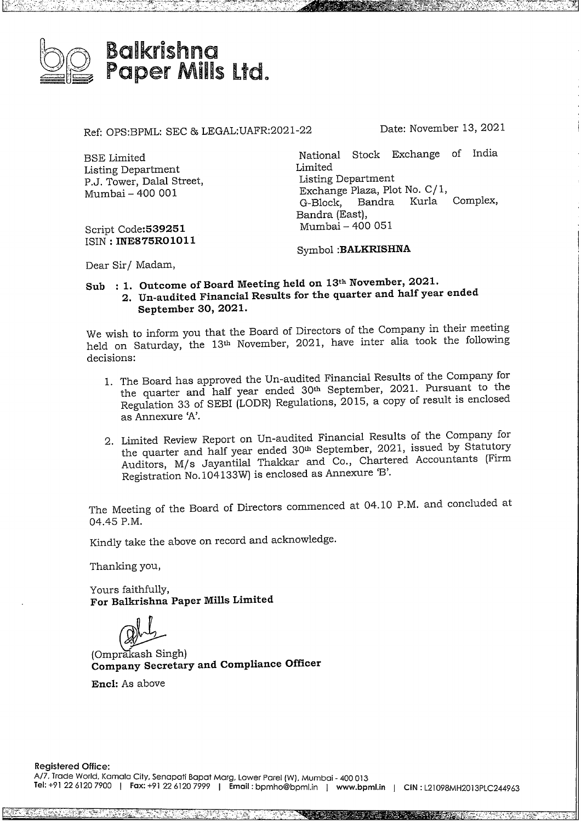

Ref: OPS:BPML: SEC & LEGAL:UAFR:2021-22 Date: November 13, 2021

ESE Limited Listing Department P.J. Tower, Dalal Street, Mumbai- <sup>400</sup> 001

Script Code:539251 ISIN : **INE875RO1011**

National Stock Exchange of India Limited Listing Department Exchange Plaza, Plot No. C/ 1, G-Block, Bandra Kurla Complex, Bandra (East), Mumbai - 400 051

Symbol **:BALKRISHNA**

Dear Sir/ Madam,

**Sub:1. Outcome of Board Meeting held on 13 November, 2021.**

**2. Un-audited Financial Results for the quarter and half year ended September 30, 2021.**

We wish to inform you that the Board of Directors of the Company in their meeting held on Saturday, the 13<sup>th</sup> November, 2021, have inter alia took the following decisions:

- 1. The Board has approved the Un-audited Financial Results of the Company for the quarter and half year ended 30h September, 2021. Pursuant to the Regulation 33 of SEBI (LODR) Regulations, 2015, a copy of result is enclosed as Annexure 'A'.
- 2. Limited Review Report on Un-audited Financial Results of the Company for the quarter and half year ended 30<sup>th</sup> September, 2021, issued by Statutory Auditors, M/s Jayantilal Thakkar and Co., Chartered Accountants (Firm Registration No.104133W) is enclosed as Annexure B.

The Meeting of the Board of Directors commenced at 04.10 P.M. and concluded at 04.45 P.M.

Kindly take the above on record and acknowledge.

Thanking you,

Yours faithfully, **For Balkrishna Paper Mills Limited**

rours latinium,<br> **For Balkrishna Paper Mills Limited<br>
(Omprakash Singh)<br>
<b>Company Secretary and Compliance Officer** 

**Encl:** As above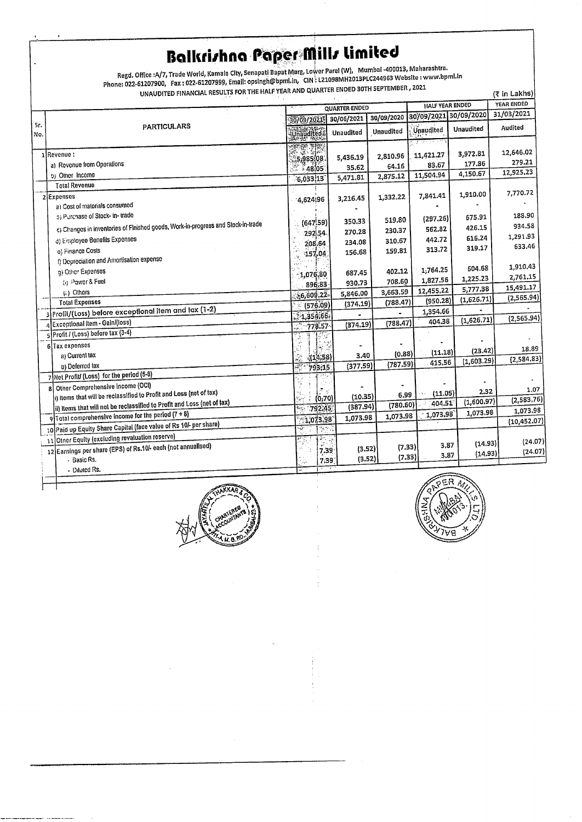## **Balkrishna Paper Mills limited**

Regd. Office :A/7, Trade World, Kamala City, Senapati Bapat Marg, Lower Parel (W), Mumbai -400013, Maharashtra.<br>Phone: 022-61207900, Fax : 022-61207999, Email: opsingh@bpml.in, CIN : L21098MH2013PLC244963 Website : w UNAUDITED FINANCIAL RESULTS FOR THE HALF YEAR AND QUARTER ENDED 30TH SEPTEMBER, 2021

| UNAUDITED FINANCIAL RESULTS FOR THE HALF YEAR AND QUARTER ENDED 30TH SEPTERMENT, 2021<br>(₹ in Lakhs) |                                                                                  |                                  |                |            |                        |            |              |
|-------------------------------------------------------------------------------------------------------|----------------------------------------------------------------------------------|----------------------------------|----------------|------------|------------------------|------------|--------------|
|                                                                                                       |                                                                                  | <b>QUARTER ENDED</b>             |                |            | <b>HALF YEAR ENDED</b> |            | YEAR ENDED   |
|                                                                                                       |                                                                                  | 30/09/2021                       | 30/06/2021     | 30/09/2020 | 30/09/2021 30/09/2020  |            | 31/03/2021   |
| Sr.<br>No.                                                                                            | <b>PARTICULARS</b>                                                               | Unaudited                        | Unaudited      | Unaudited  | Unaudited              | Unaudited  | Audited      |
|                                                                                                       |                                                                                  |                                  |                |            |                        |            |              |
|                                                                                                       | 1 Revenue :                                                                      | 15,985,08                        | 5,436.19       | 2,810.96   | 11,421.27              | 3,972.81   | 12,646.02    |
|                                                                                                       | a) Revenue from Operations                                                       | 48.05                            | 35.62          | 64.16      | 83.67                  | 177.86     | 279.21       |
|                                                                                                       | b) Other Income                                                                  | 6,033,13                         | 5,471.81       | 2,875.12   | 11,504.94              | 4,150.67   | 12,925,23    |
|                                                                                                       | <b>Total Revenue</b>                                                             |                                  |                |            |                        |            |              |
|                                                                                                       | 2 Expenses                                                                       | 4,624,96                         | 3,216.45       | 1,332.22   | 7,841.41               | 1,910.00   | 7,770.72     |
|                                                                                                       | a) Cost of materials consumed                                                    |                                  |                |            |                        |            |              |
|                                                                                                       | 5) Purchase of Stock- in- trade                                                  | (647,59)                         | 350.33         | 519.80     | (297.26)               | 675.91     | 188.90       |
|                                                                                                       | c) Changes in inventories of Finished goods, Work-in-progress and Stock-in-trade | 292.54                           | 270,28         | 230.37     | 562.82                 | 426.15     | 934.58       |
|                                                                                                       | d) Employee Benefits Expenses                                                    | 208.64                           | 234.08         | 310,67     | 442.72                 | 616.24     | 1,291.93     |
|                                                                                                       | o) Finance Costs                                                                 | 157.04                           | 156.68         | 159.81     | 313.72                 | 319.17     | 633.46       |
|                                                                                                       | f) Depreciation and Amortisation expense                                         |                                  |                |            |                        |            |              |
|                                                                                                       | g) Other Expenses                                                                | 1,076,80                         | 687.45         | 402.12     | 1,764.25               | 604.68     | 1,910.43     |
|                                                                                                       | (i) Power & Fuel                                                                 | 896,83                           | 930.73         | 708.60     | 1,827.56               | 1,225.23   | 2,761.15     |
|                                                                                                       | (ii) Others                                                                      | 36,609,22                        | 5,846,00       | 3,663.59   | 12,455.22              | 5,777.38   | 15,491.17    |
|                                                                                                       | <b>Total Expenses</b>                                                            | (576.09)                         | (374.19)       | (788.47)   | (950.28)               | (1,626.71) | (2, 565.94)  |
|                                                                                                       | 3 Profit/(Loss) before exceptional item and tax (1-2)                            | $-1,359,66.$                     |                |            | 1,354.66               |            |              |
|                                                                                                       | 4 Exceptional Item - Gain/(loss)                                                 | $-778.57$                        | (374.19)       | (788.47)   | 404.38                 | (1,626.71) | (2,565.94)   |
|                                                                                                       | 5 Profit / (Loss) before tax (3-4)                                               | lş S                             |                |            |                        |            |              |
|                                                                                                       | 6 Tax expenses                                                                   |                                  |                |            |                        |            | 18.89        |
|                                                                                                       | a) Current tax                                                                   | (14,58)                          | 3.40           | (0.88)     | (11.18)                | (23, 42)   |              |
|                                                                                                       | b) Deferred tax                                                                  | 793,15                           | (377.59)       | (787.59)   | 415,56                 | (1,603.29) | (2,584.83)   |
|                                                                                                       | 7 Net Profit/ (Loss) for the period (5-6)                                        |                                  |                |            |                        |            |              |
|                                                                                                       | 8 Other Comprehensive Income (OCI)                                               |                                  |                |            |                        |            | 1.07         |
|                                                                                                       | $\ket{\text{i}}$ items that will be reclassified to Profit and Loss (net of tax) | (0.70)                           | (10.35)        | 6.99       | (11.05)                | 2.32       | (2,583,76)   |
|                                                                                                       | ii) Items that will not be reclassified to Profit and Loss (net of tax)          | 792.45                           | (387.94)       | (780.60)   | 404.51                 | (1,600.97) | 1,073.98     |
|                                                                                                       | 9 Total comprehensive income for the period (7 + 8)                              | 1,073,98                         | 1,073.98       | 1,073.98   | 1,073.98               | 1,073.98   | (10, 452.07) |
|                                                                                                       | 10 Paid up Equity Share Capital (face value of Rs 10/- per share)                | ÷,<br>$\mathcal{V}(\mathcal{S})$ |                |            |                        |            |              |
|                                                                                                       | 11 Otner Equity (excluding revaluation reserve)                                  | l≫. 1                            |                |            |                        |            | (24.07)      |
|                                                                                                       | 12 Earnings per share (EPS) of Rs.10/- each (not annuallsed)                     |                                  | (3,52)<br>7.39 | (7.33)     | 3,87                   | (14.93)    | (24.07)      |
|                                                                                                       | - Basic Rs.                                                                      |                                  | (3.52)<br>7.39 | (7.33)     | 3,87                   | (14.93)    |              |
|                                                                                                       | - Diluted Rs.                                                                    | س بال                            |                |            |                        |            |              |



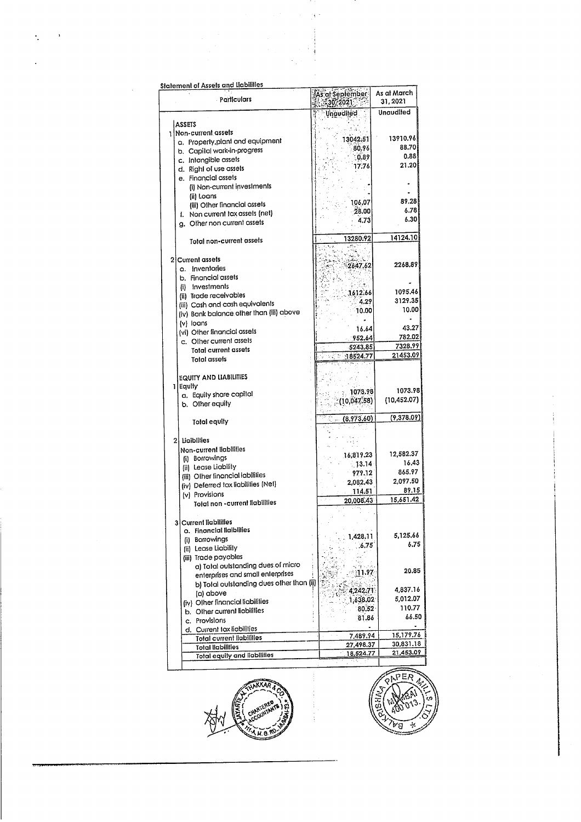| <b>Statement of Assets and Liabilities</b>               |                                    |                         |  |
|----------------------------------------------------------|------------------------------------|-------------------------|--|
| <b>Particulars</b>                                       | .<br>As al Sepiember<br>ි.30, 2021 | As at March<br>31, 2021 |  |
|                                                          | Unaudited                          | Unaudited               |  |
| <b>ASSETS</b>                                            |                                    |                         |  |
| 1   Non-current assels                                   |                                    |                         |  |
| a. Property, plant and equipment                         | 13042.51                           | 13910.96                |  |
| b. Capital work-in-progress                              | 80.96                              | 88.70                   |  |
|                                                          | 0.89                               | 0.88                    |  |
| c. Intangible assets                                     | 17.76                              | 21.20                   |  |
| d. Right of use assets                                   |                                    |                         |  |
| e. Financial assets                                      |                                    |                         |  |
| (i) Non-current investments                              |                                    |                         |  |
| (ii) Loans                                               |                                    |                         |  |
| (iii) Olher financial assets                             | 106,07                             | 89.28                   |  |
| f. Non current tax assets (net)                          | $-28.00$                           | 6.78                    |  |
| g. Other non current assets                              | 4.73                               | 6.30                    |  |
|                                                          |                                    |                         |  |
|                                                          | 13280.92                           | 14124.10                |  |
| Total non-current assets                                 |                                    |                         |  |
|                                                          |                                    |                         |  |
| 2 Current assets                                         |                                    |                         |  |
| a. Inventories                                           | 2647.62                            | 2268.89                 |  |
| b. Financial assets                                      |                                    |                         |  |
| (i) Investments                                          |                                    |                         |  |
| (ii) Trade receivables                                   | 1612.66                            | 1095.46                 |  |
|                                                          | 4.29                               | 3129.35                 |  |
| (iii) Cash and cash equivalents                          | 10.00                              | 10.00                   |  |
| (iv) Bank balance other than (iii) above                 |                                    |                         |  |
| (v) loans                                                |                                    |                         |  |
| (vi) Other financial assets                              | 16.64                              | 43.27                   |  |
| c. Other current assets                                  | . 952.64                           | 782.02                  |  |
| Total current assets                                     | 5243.85                            | 7328.99                 |  |
|                                                          | $\frac{3.2}{1.8524.77}$            | 21453.09                |  |
| <b>Total assets</b>                                      |                                    |                         |  |
|                                                          |                                    |                         |  |
| <b>EQUITY AND LIABILITIES</b>                            |                                    |                         |  |
| 1 Equity                                                 |                                    | 1073.98                 |  |
| a. Equity share capital                                  | 1073.98                            |                         |  |
| b. Other equily                                          | (10,047,58)                        | (10, 452.07)            |  |
|                                                          |                                    |                         |  |
| Total equity                                             | (8,973,60)                         | (9,378.09)              |  |
|                                                          |                                    |                         |  |
| 2 Ligibilities                                           |                                    |                         |  |
|                                                          |                                    |                         |  |
| Non-current liabilities                                  | 16,819.23                          | 12,582.37               |  |
| (i) Borrowings                                           | 13.14                              | 16.43                   |  |
| (ii) Lease Liability                                     |                                    | 865.97                  |  |
| (iii) Other financial labilities                         | 979.12                             |                         |  |
| (iv) Deferred tax liabilities (Net)                      | 2,082,43                           | 2,097.50                |  |
| (v) Provisions                                           | 114.51                             | 89.15                   |  |
| Total non-current liabilities                            | 20,008.43                          | 15,651.42               |  |
|                                                          |                                    |                         |  |
|                                                          |                                    |                         |  |
| <b>Current liabilities</b><br>31                         |                                    |                         |  |
| a. Financial liaibilities                                |                                    | 5,125.66                |  |
| (i) Borrowings                                           | 1,428.11                           |                         |  |
| (ii) Lease Liability                                     | .6,75                              | 6.75                    |  |
| (iii) Trade payables                                     |                                    |                         |  |
| a) Total outstanding dues of micro                       | 经公司                                |                         |  |
| enterprises and small enterprises                        | ा १.१७                             | 20.85                   |  |
| b) Total outstanding dues other than (ii)                |                                    |                         |  |
|                                                          | 4,242.71                           | 4,837.16                |  |
| (a) above                                                |                                    | 5,012.07                |  |
| (iv) Other financial liabilities                         | 1,638.02                           | 110.77                  |  |
| b. Other current liabilities                             | 80,52                              |                         |  |
| c. Provisions                                            | 81.86                              | 66.50                   |  |
| d. Current tax liabilities                               |                                    |                         |  |
| <b>Total current liabilities</b>                         | 7,489.94                           | 15,179.76               |  |
|                                                          | 27,498.37                          | 30,831.18               |  |
|                                                          |                                    |                         |  |
| Total liabilities<br><b>Total equity and liabilities</b> | 18,524.77                          | 21,453.09               |  |

 $\mathbb{R}^3$ 



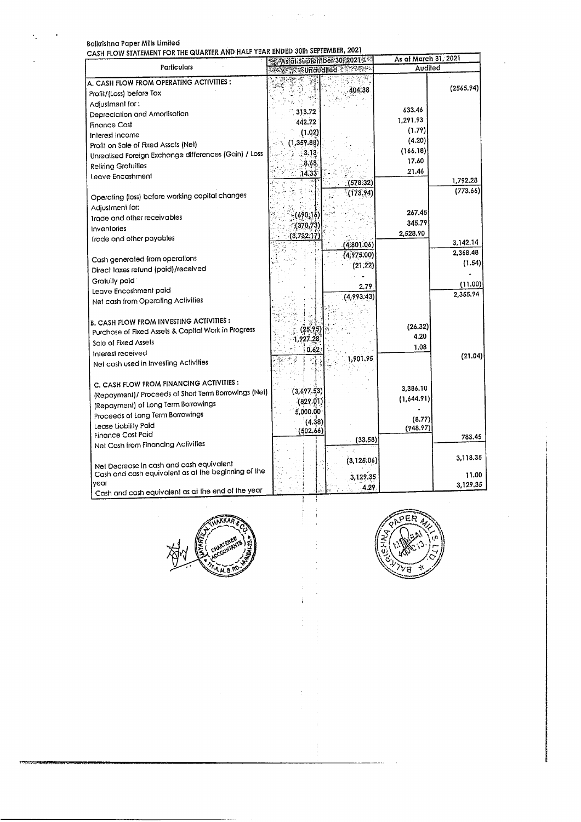$\ddot{\cdot}$ 

 $\blacksquare$ 

Balkrishna Paper Mills Limited<br>CASH ELOW STATEMENT FOR THE QUARTER AND HALF YEAR ENDED 30th SEPTEMBER, 2021

| <b>CASH FLOW SIAILWENT I</b><br>VII IIIL XVAII        | <b>***Asidi September 30-2021</b>                                                                             | As at March 31, 2021 |           |  |
|-------------------------------------------------------|---------------------------------------------------------------------------------------------------------------|----------------------|-----------|--|
| Particulars                                           | <b>STANDARD AND STANDARD STANDARD STANDARD STANDARD STANDARD STANDARD STANDARD STANDARD STANDARD STANDARD</b> | Audited              |           |  |
| A. CASH FLOW FROM OPERATING ACTIVITIES:               |                                                                                                               |                      |           |  |
| Profit/(Loss) before Tax                              | 404.38                                                                                                        |                      | (2565.94) |  |
| Adjustment for:                                       |                                                                                                               |                      |           |  |
| Depreciation and Amorlisation                         | 313.72                                                                                                        | 633.46               |           |  |
| <b>Finance Cost</b>                                   | 442.72                                                                                                        | 1,291.93             |           |  |
| Interest Income                                       | (1.02)                                                                                                        | (1.79)               |           |  |
| Profit on Sale of Fixed Assels (Nel)                  | (1, 359.88)                                                                                                   | (4.20)<br>(166.18)   |           |  |
| Unrealised Foreign Exchange differences (Gain) / Loss | 3.13                                                                                                          | 17.60                |           |  |
| Reliring Gratuilies                                   | 8.68                                                                                                          | 21.46                |           |  |
| Leave Encashment                                      | 14.33                                                                                                         |                      | 1,792.28  |  |
|                                                       | (578.32)                                                                                                      |                      | (773.66)  |  |
| Operating (loss) before working capital changes       | (173.94)                                                                                                      |                      |           |  |
| Adjustment for:                                       |                                                                                                               | 267.45               |           |  |
| Irade and other receivables                           | $-(690,16)$                                                                                                   | 345.79               |           |  |
| Inventories                                           | (378, 73)                                                                                                     | 2,528.90             |           |  |
| Irade and other payables                              | (3.732.17)                                                                                                    |                      | 3,142.14  |  |
|                                                       | (4,801.06)<br>(4.975.00)                                                                                      |                      | 2,368.48  |  |
| Cash generated from operations                        | (21.22)                                                                                                       |                      | (1.54)    |  |
| Direct taxes refund (paid)/received                   |                                                                                                               |                      |           |  |
| Gratuity paid                                         | 2.79                                                                                                          |                      | (11.00)   |  |
| Leave Encashment paid                                 | (4,993.43)                                                                                                    |                      | 2,355.94  |  |
| Net cash from Operating Activities                    |                                                                                                               |                      |           |  |
|                                                       |                                                                                                               |                      |           |  |
| <b>B. CASH FLOW FROM INVESTING ACTIVITIES:</b>        | (25.95)                                                                                                       | (26.32)              |           |  |
| Purchase of Fixed Assels & Capital Work in Progress   | 1.927.28                                                                                                      | 4.20                 |           |  |
| Sale of Fixed Assets                                  | 0.62                                                                                                          | 1.08                 |           |  |
| Interest received                                     | 1,901.95                                                                                                      |                      | (21.04)   |  |
| Net cash used in Investing Activities                 |                                                                                                               |                      |           |  |
|                                                       |                                                                                                               |                      |           |  |
| C. CASH FLOW FROM FINANCING ACTIVITIES :              | (3,697.53)                                                                                                    | 3,386.10             |           |  |
| (Repayment)/ Proceeds of Short Term Borrowings (Net)  | (829.01)                                                                                                      | (1,644.91)           |           |  |
| (Repayment) of Long Term Borrowings                   | 5,000.00                                                                                                      |                      |           |  |
| Proceeds of Long Term Borrowings                      | (4.38)                                                                                                        | (8.77)               |           |  |
| Lease Liability Paid<br><b>Finance Cost Paid</b>      | (502.66)                                                                                                      | (948.97)             |           |  |
| Net Cash from Financing Activities                    | (33,58)                                                                                                       |                      | 783.45    |  |
|                                                       |                                                                                                               |                      |           |  |
| Nel Decrease in cash and cash equivalent              | (3, 125.06)                                                                                                   |                      | 3,118.35  |  |
| Cash and cash equivalent as at the beginning of the   |                                                                                                               |                      | 11.00     |  |
| year                                                  | 3,129.35                                                                                                      |                      | 3,129.35  |  |
| Cash and cash equivalent as at the end of the year    | 4.29                                                                                                          |                      |           |  |

 $\frac{1}{2}$  and  $\frac{1}{2}$ 

 $\label{eq:2.1} \frac{1}{\sqrt{2}}\left(\frac{1}{2}\right)^{2} \left(\frac{1}{2}\right)^{2} \left(\frac{1}{2}\right)^{2} \left(\frac{1}{2}\right)^{2} \left(\frac{1}{2}\right)^{2} \left(\frac{1}{2}\right)^{2} \left(\frac{1}{2}\right)^{2} \left(\frac{1}{2}\right)^{2} \left(\frac{1}{2}\right)^{2} \left(\frac{1}{2}\right)^{2} \left(\frac{1}{2}\right)^{2} \left(\frac{1}{2}\right)^{2} \left(\frac{1}{2}\right)^{2} \left(\frac{1}{2}\right)^{2} \left(\frac{$ 



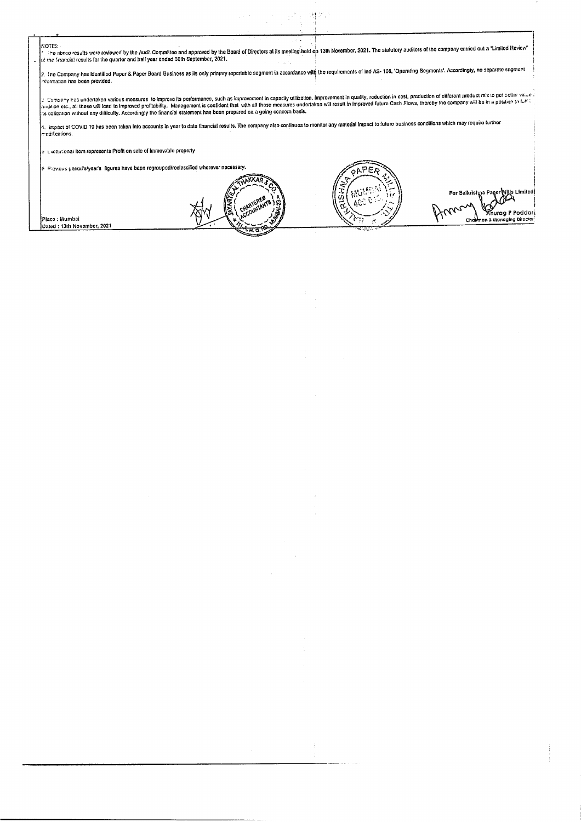| NOTES:<br>The above results were reviewed by the Audit Committee and approved by the Beard of Directors at its meeting held on 13th November, 2021. The statutory auditors of the company carried out a "Limited Review"                                                                                                                                                                                                                                                                              |
|-------------------------------------------------------------------------------------------------------------------------------------------------------------------------------------------------------------------------------------------------------------------------------------------------------------------------------------------------------------------------------------------------------------------------------------------------------------------------------------------------------|
| . Jot the financial results for the quarter and half year ended 30th September, 2021.<br>2. The Company has Identified Paper & Paper Board Business as ils only primary reportable segment in accordance with the requirements of Ind AS- 108, 'Operating Segments'. Accordingly, no separate segment                                                                                                                                                                                                 |
| information has been provided.<br>$\downarrow$ Company has undertaken various measures to improve its performance, such as improvement in capacity utilization. Improvement in quality, reduction in cost, production of different product mix to get better value :<br>as discount of all these will lead to improved profitability. Management is confident that with all these measures underlaken will result in improved fulture Cash Flows, thereby the company will be in a positon to fulf if |
| as opligation without any difficulty. Accordingly the financial statement has been prepared on a going concern basis.<br>4. Impact of COVID 19 has been taken into accounts in year to date financial results. The company also continues to monitor any material impact to future business conditions which may require further<br>modifications.                                                                                                                                                    |
| bility counter that the magnetic state of the move of the control of the state of the state of the state of the                                                                                                                                                                                                                                                                                                                                                                                       |
| [6] Drevious period's/year's ligures have been regrouped/reclassified wherever necessary.<br>For Balkrishna Paner Mills Limited                                                                                                                                                                                                                                                                                                                                                                       |
| Place : Mumbai<br>Chaliman & Managing Director<br>Dated: 13th November, 2021                                                                                                                                                                                                                                                                                                                                                                                                                          |
|                                                                                                                                                                                                                                                                                                                                                                                                                                                                                                       |

 $\label{eq:2.1} \begin{split} \mathcal{L}_{\text{max}}(\mathcal{L}_{\text{max}}) = \mathcal{L}_{\text{max}}(\mathcal{L}_{\text{max}}) \end{split}$ 

 $\frac{1}{4}$ 

 $\,$  ,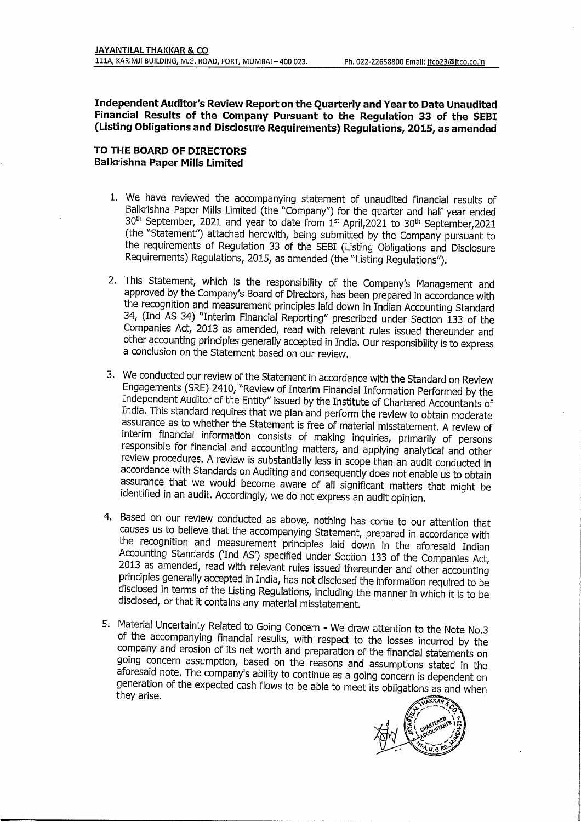**IndependentAuditor's Review Report on the Quarterly and Year to Date Unaudited Financial Results of the Company Pursuant to the Regulation <sup>33</sup> of the SEBI (Listing Obligations and Disclosure Requirements) Regulations, 2015, as amended**

## **TO THE BOARD OF DIRECTORS Balkrishna Paper Mills Limited**

- 1. We have reviewed the accompanying statement of unaudited financial results of Balkrishna Paper Mills Limited (the "Company'') for the quarter and half year ended  $30<sup>th</sup>$  September, 2021 and year to date from  $1<sup>st</sup>$  April, 2021 to 30<sup>th</sup> September, 2021 (the "Statement") attached herewith, being submitted by the Company pursuant to the requirements of Regulation <sup>33</sup> of the SEBI (Listing Obligations and Disclosure Requirements) Regulations, 2015, as amended (the "Listing Regulations").
- 2. This Statement, which is the responsibility of the Company's Management and approved by the Company's Board of Directors, has been prepared in accordance with the recognition and measurement principles laid down in Indian Accounting Standard 34, (Ind AS 34) "Interim Financial Reporting" prescribed under Section <sup>133</sup> of the Companies Act, 2013 as amended, read with relevant rules issued thereunder and other accounting principles generally accepted in India. Our responsibility is to express <sup>a</sup> conclusion on the Statement based on our review.
- 3. We conducted our review of the Statement in accordance with the Standard on Review Engagements (SRE) 2410, "Review of Interim Financial Information Performed by the Independent Auditor of the Entity" issued by the Institute of Chartered Accountants of India. This standard requires that we plan and perform the review to obtain moderate assurance as to whether the Statement is free of material misstatement. <sup>A</sup> review of interim financial information consists of making inquiries, primarily of persons responsible for financial and accounting matters, and applying analytical and other review procedures. <sup>A</sup> review is substantially less in scope than an audit conducted in accordance with Standards on Auditing and consequently does not enable us to obtain assurance that we would become aware of all significant matters that might be identified in an audit. Accordingly, we do not express an audit opinion.
- 4. Based on our review conducted as above, nothing has come to our attention that causes us to believe that the accompanying Statement, prepared in accordance with the recognition and measurement principles laid down in the aforesaid Indian Accounting Standards ('Ind AS) specified under Section <sup>133</sup> of the Companies Act, 2013 as amended, read with relevant rules issued thereunder and other accounting principles generally accepted in India, has not disclosed the information required to be disclosed in terms of the Listing Regulations, including the manner in which it is to be disclosed, or that it contains any material misstatement.
- 5. Material Uncertainty Related to Going Concern We draw attention to the Note No.3 of the accompanying financial results, with respect to the losses incurred by the company and erosion of its net worth and preparation of the financial statements on going concern assumption, based on the reasons and assumptions stated in the aforesaid note. The company's ability to continue as <sup>a</sup> going concern is dependent on generation of the expected cash flows to be able to meet its obligations as and when they arise.